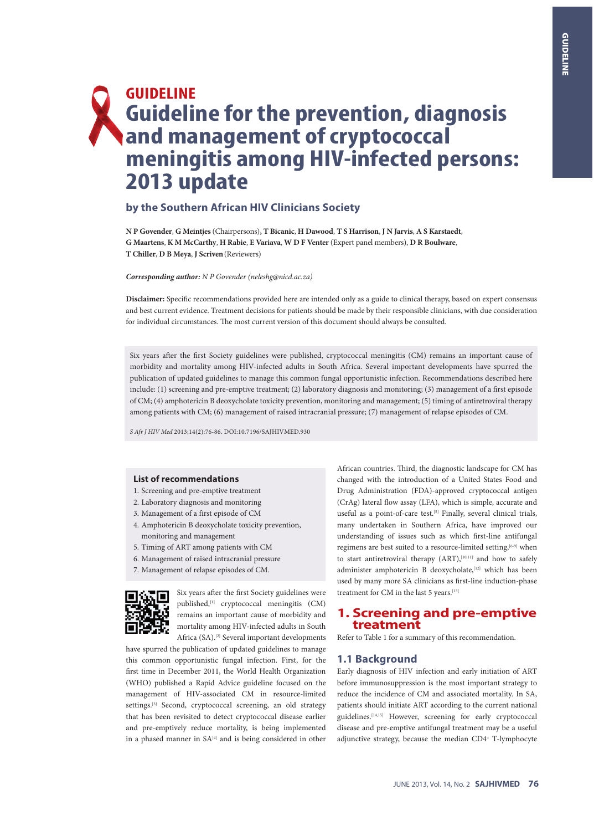# **GUIDELINE Guideline for the prevention, diagnosis and management of cryptococcal meningitis among HIV-infected persons: 2013 update**

# **by the Southern African HIV Clinicians Society**

**N P Govender**, **G Meintjes** (Chairpersons)**, T Bicanic**, **H Dawood**, **T S Harrison**, **J N Jarvis**, **A S Karstaedt**, **G Maartens**, **K M McCarthy**, **H Rabie**, **E Variava**, **W D F Venter** (Expert panel members), **D R Boulware**, **T Chiller**, **D B Meya**, **J Scriven**(Reviewers)

*Corresponding author: N P Govender (neleshg@nicd.ac.za)*

**Disclaimer:** Specific recommendations provided here are intended only as a guide to clinical therapy, based on expert consensus and best current evidence. Treatment decisions for patients should be made by their responsible clinicians, with due consideration for individual circumstances. The most current version of this document should always be consulted.

Six years after the first Society guidelines were published, cryptococcal meningitis (CM) remains an important cause of morbidity and mortality among HIV-infected adults in South Africa. Several important developments have spurred the publication of updated guidelines to manage this common fungal opportunistic infection*.* Recommendations described here include: (1) screening and pre-emptive treatment; (2) laboratory diagnosis and monitoring; (3) management of a first episode of CM; (4) amphotericin B deoxycholate toxicity prevention, monitoring and management; (5) timing of antiretroviral therapy among patients with CM; (6) management of raised intracranial pressure; (7) management of relapse episodes of CM.

*S Afr J HIV Med* 2013;14(2):76-86. DOI:10.7196/SAJHIVMED.930

#### **List of recommendations**

- 1. Screening and pre-emptive treatment
- 2. Laboratory diagnosis and monitoring
- 3. Management of a first episode of CM
- 4. Amphotericin B deoxycholate toxicity prevention, monitoring and management
- 5. Timing of ART among patients with CM
- 6. Management of raised intracranial pressure
- 7. Management of relapse episodes of CM.



Six years after the first Society guidelines were published,<sup>[1]</sup> cryptococcal meningitis (CM) remains an important cause of morbidity and mortality among HIV-infected adults in South Africa (SA).[2] Several important developments

have spurred the publication of updated guidelines to manage this common opportunistic fungal infection. First, for the first time in December 2011, the World Health Organization (WHO) published a Rapid Advice guideline focused on the management of HIV-associated CM in resource-limited settings.<sup>[3]</sup> Second, cryptococcal screening, an old strategy that has been revisited to detect cryptococcal disease earlier and pre-emptively reduce mortality, is being implemented in a phased manner in SA<sup>[4]</sup> and is being considered in other African countries. Third, the diagnostic landscape for CM has changed with the introduction of a United States Food and Drug Administration (FDA)-approved cryptococcal antigen (CrAg) lateral flow assay (LFA), which is simple, accurate and useful as a point-of-care test.<sup>[5]</sup> Finally, several clinical trials, many undertaken in Southern Africa, have improved our understanding of issues such as which first-line antifungal regimens are best suited to a resource-limited setting, [6-9] when to start antiretroviral therapy  $(ART),$ <sup>[10,11]</sup> and how to safely administer amphotericin B deoxycholate,<sup>[12]</sup> which has been used by many more SA clinicians as first-line induction-phase treatment for CM in the last 5 years.<sup>[13]</sup>

# **1. Screening and pre-emptive treatment**

Refer to Table 1 for a summary of this recommendation.

#### **1.1 Background**

Early diagnosis of HIV infection and early initiation of ART before immunosuppression is the most important strategy to reduce the incidence of CM and associated mortality. In SA, patients should initiate ART according to the current national guidelines.[14,15] However, screening for early cryptococcal disease and pre-emptive antifungal treatment may be a useful adjunctive strategy, because the median CD4<sup>+</sup> T-lymphocyte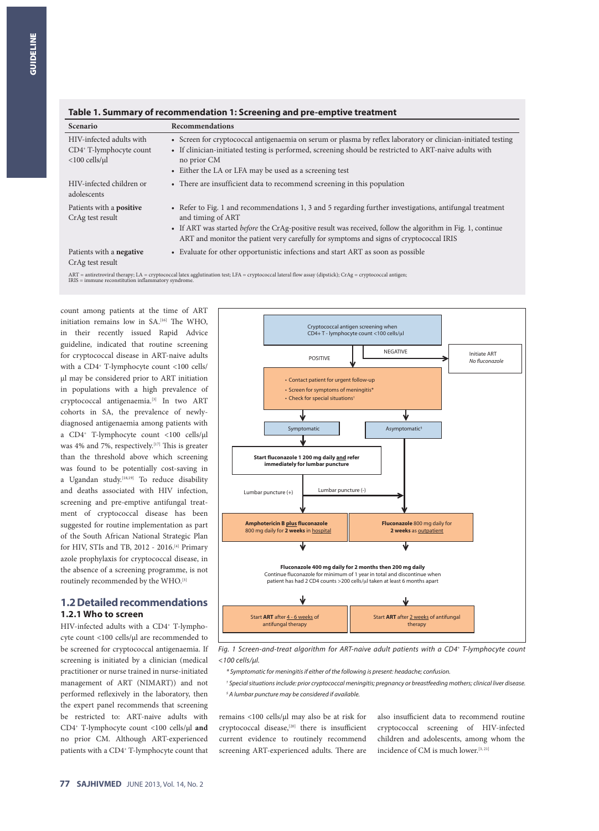| Table 1. Summary of recommendation 1: Screening and pre-emptive treatment                 |                                                                                                                                                                                                                                                                                                                                              |  |  |
|-------------------------------------------------------------------------------------------|----------------------------------------------------------------------------------------------------------------------------------------------------------------------------------------------------------------------------------------------------------------------------------------------------------------------------------------------|--|--|
| Scenario                                                                                  | <b>Recommendations</b>                                                                                                                                                                                                                                                                                                                       |  |  |
| HIV-infected adults with<br>CD4 <sup>+</sup> T-lymphocyte count<br>$<$ 100 cells/ $\mu$ l | • Screen for cryptococcal antigenaemia on serum or plasma by reflex laboratory or clinician-initiated testing<br>• If clinician-initiated testing is performed, screening should be restricted to ART-naive adults with<br>no prior CM<br>• Either the LA or LFA may be used as a screening test                                             |  |  |
| HIV-infected children or<br>adolescents                                                   | • There are insufficient data to recommend screening in this population                                                                                                                                                                                                                                                                      |  |  |
| Patients with a positive<br>CrAg test result                                              | • Refer to Fig. 1 and recommendations 1, 3 and 5 regarding further investigations, antifungal treatment<br>and timing of ART<br>• If ART was started <i>before</i> the CrAg-positive result was received, follow the algorithm in Fig. 1, continue<br>ART and monitor the patient very carefully for symptoms and signs of cryptococcal IRIS |  |  |
| Patients with a <b>negative</b><br>CrAg test result                                       | • Evaluate for other opportunistic infections and start ART as soon as possible                                                                                                                                                                                                                                                              |  |  |
| IRIS = immune reconstitution inflammatory syndrome.                                       | $ART = antiretroviral therapy; LA = cryptococcal later against the gradient of the current.$<br>$AF = cryptococcal later at the current of the current.$<br>$AF = cryptococcal matter at the current of the current.$                                                                                                                        |  |  |

count among patients at the time of ART initiation remains low in SA.[16] The WHO, in their recently issued Rapid Advice guideline, indicated that routine screening for cryptococcal disease in ART-naive adults with a CD4+ T-lymphocyte count <100 cells/ µl may be considered prior to ART initiation in populations with a high prevalence of cryptococcal antigenaemia.[3] In two ART cohorts in SA, the prevalence of newlydiagnosed antigenaemia among patients with a CD4+ T-lymphocyte count <100 cells/µl was 4% and 7%, respectively.<sup>[17]</sup> This is greater than the threshold above which screening was found to be potentially cost-saving in a Ugandan study.[18,19] To reduce disability and deaths associated with HIV infection, screening and pre-emptive antifungal treatment of cryptococcal disease has been suggested for routine implementation as part of the South African National Strategic Plan for HIV, STIs and TB, 2012 - 2016.[4] Primary azole prophylaxis for cryptococcal disease, in the absence of a screening programme, is not routinely recommended by the WHO.[3]

# **1.2 Detailed recommendations 1.2.1 Who to screen**

HIV-infected adults with a CD4<sup>+</sup> T-lymphocyte count <100 cells/µl are recommended to be screened for cryptococcal antigenaemia. If screening is initiated by a clinician (medical practitioner or nurse trained in nurse-initiated management of ART (NIMART)) and not performed reflexively in the laboratory, then the expert panel recommends that screening be restricted to: ART-naive adults with CD4+ T-lymphocyte count <100 cells/µl **and** no prior CM. Although ART-experienced patients with a CD4<sup>+</sup> T-lymphocyte count that



*Fig. 1 Screen-and-treat algorithm for ART-naive adult patients with a CD4+ T-lymphocyte count <100 cells/µl.*

*\* Symptomatic for meningitis if either of the following is present: headache; confusion.* 

*† Special situations include: prior cryptococcal meningitis; pregnancy or breastfeeding mothers; clinical liver disease. § A lumbar puncture may be considered if available.*

remains <100 cells/µl may also be at risk for cryptococcal disease,[20] there is insufficient current evidence to routinely recommend screening ART-experienced adults. There are also insufficient data to recommend routine cryptococcal screening of HIV-infected children and adolescents, among whom the incidence of CM is much lower.<sup>[3, 21]</sup>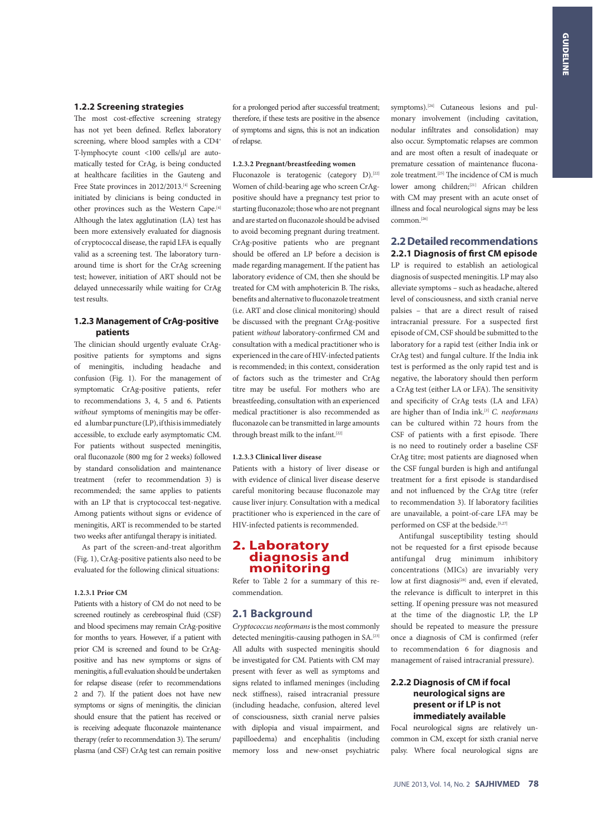## **1.2.2 Screening strategies**

The most cost-effective screening strategy has not yet been defined. Reflex laboratory screening, where blood samples with a CD4<sup>+</sup> T-lymphocyte count <100 cells/µl are automatically tested for CrAg, is being conducted at healthcare facilities in the Gauteng and Free State provinces in 2012/2013.<sup>[4]</sup> Screening initiated by clinicians is being conducted in other provinces such as the Western Cape.<sup>[4]</sup> Although the latex agglutination (LA) test has been more extensively evaluated for diagnosis of cryptococcal disease, the rapid LFA is equally valid as a screening test. The laboratory turnaround time is short for the CrAg screening test; however, initiation of ART should not be delayed unnecessarily while waiting for CrAg test results.

## **1.2.3 Management of CrAg-positive patients**

The clinician should urgently evaluate CrAgpositive patients for symptoms and signs of meningitis, including headache and confusion (Fig. 1). For the management of symptomatic CrAg-positive patients, refer to recommendations 3, 4, 5 and 6. Patients without symptoms of meningitis may be offered a lumbar puncture (LP), if this is immediately accessible, to exclude early asymptomatic CM. For patients without suspected meningitis, oral fluconazole (800 mg for 2 weeks) followed by standard consolidation and maintenance treatment (refer to recommendation 3) is recommended; the same applies to patients with an LP that is cryptococcal test-negative. Among patients without signs or evidence of meningitis, ART is recommended to be started two weeks after antifungal therapy is initiated.

As part of the screen-and-treat algorithm (Fig. 1), CrAg-positive patients also need to be evaluated for the following clinical situations:

#### **1.2.3.1 Prior CM**

Patients with a history of CM do not need to be screened routinely as cerebrospinal fluid (CSF) and blood specimens may remain CrAg-positive for months to years. However, if a patient with prior CM is screened and found to be CrAgpositive and has new symptoms or signs of meningitis, a full evaluation should be undertaken for relapse disease (refer to recommendations 2 and 7). If the patient does not have new symptoms or signs of meningitis, the clinician should ensure that the patient has received or is receiving adequate fluconazole maintenance therapy (refer to recommendation 3). The serum/ plasma (and CSF) CrAg test can remain positive

for a prolonged period after successful treatment; therefore, if these tests are positive in the absence of symptoms and signs, this is not an indication of relapse.

#### **1.2.3.2 Pregnant/breastfeeding women**

Fluconazole is teratogenic (category D).<sup>[22]</sup> Women of child-bearing age who screen CrAgpositive should have a pregnancy test prior to starting fluconazole; those who are not pregnant and are started on fluconazole should be advised to avoid becoming pregnant during treatment. CrAg-positive patients who are pregnant should be offered an LP before a decision is made regarding management. If the patient has laboratory evidence of CM, then she should be treated for CM with amphotericin B. The risks, benefits and alternative to fluconazole treatment (i.e. ART and close clinical monitoring) should be discussed with the pregnant CrAg-positive patient *without* laboratory-confirmed CM and consultation with a medical practitioner who is experienced in the care of HIV-infected patients is recommended; in this context, consideration of factors such as the trimester and CrAg titre may be useful. For mothers who are breastfeeding, consultation with an experienced medical practitioner is also recommended as fluconazole can be transmitted in large amounts through breast milk to the infant.<sup>[22]</sup>

#### **1.2.3.3 Clinical liver disease**

Patients with a history of liver disease or with evidence of clinical liver disease deserve careful monitoring because fluconazole may cause liver injury. Consultation with a medical practitioner who is experienced in the care of HIV-infected patients is recommended.

## **2. Laboratory diagnosis and monitoring**

Refer to Table 2 for a summary of this recommendation.

#### **2.1 Background**

*Cryptococcus neoformans* is the most commonly detected meningitis-causing pathogen in SA.[23] All adults with suspected meningitis should be investigated for CM. Patients with CM may present with fever as well as symptoms and signs related to inflamed meninges (including neck stiffness), raised intracranial pressure (including headache, confusion, altered level of consciousness, sixth cranial nerve palsies with diplopia and visual impairment, and papilloedema) and encephalitis (including memory loss and new-onset psychiatric

symptoms).<sup>[24]</sup> Cutaneous lesions and pulmonary involvement (including cavitation, nodular infiltrates and consolidation) may also occur. Symptomatic relapses are common and are most often a result of inadequate or premature cessation of maintenance fluconazole treatment.<sup>[25]</sup> The incidence of CM is much lower among children;<sup>[21]</sup> African children with CM may present with an acute onset of illness and focal neurological signs may be less common.[26]

## **2.2 Detailed recommendations 2.2.1 Diagnosis of first CM episode**

LP is required to establish an aetiological diagnosis of suspected meningitis. LP may also alleviate symptoms – such as headache, altered level of consciousness, and sixth cranial nerve palsies – that are a direct result of raised intracranial pressure. For a suspected first episode of CM, CSF should be submitted to the laboratory for a rapid test (either India ink or CrAg test) and fungal culture. If the India ink test is performed as the only rapid test and is negative, the laboratory should then perform a CrAg test (either LA or LFA). The sensitivity and specificity of CrAg tests (LA and LFA) are higher than of India ink.[3] *C. neoformans* can be cultured within 72 hours from the CSF of patients with a first episode. There is no need to routinely order a baseline CSF CrAg titre; most patients are diagnosed when the CSF fungal burden is high and antifungal treatment for a first episode is standardised and not influenced by the CrAg titre (refer to recommendation 3). If laboratory facilities are unavailable, a point-of-care LFA may be performed on CSF at the bedside.<sup>[5,27]</sup>

Antifungal susceptibility testing should not be requested for a first episode because antifungal drug minimum inhibitory concentrations (MICs) are invariably very low at first diagnosis<sup>[28]</sup> and, even if elevated, the relevance is difficult to interpret in this setting. If opening pressure was not measured at the time of the diagnostic LP, the LP should be repeated to measure the pressure once a diagnosis of CM is confirmed (refer to recommendation 6 for diagnosis and management of raised intracranial pressure).

## **2.2.2 Diagnosis of CM if focal neurological signs are present or if LP is not immediately available**

Focal neurological signs are relatively uncommon in CM, except for sixth cranial nerve palsy. Where focal neurological signs are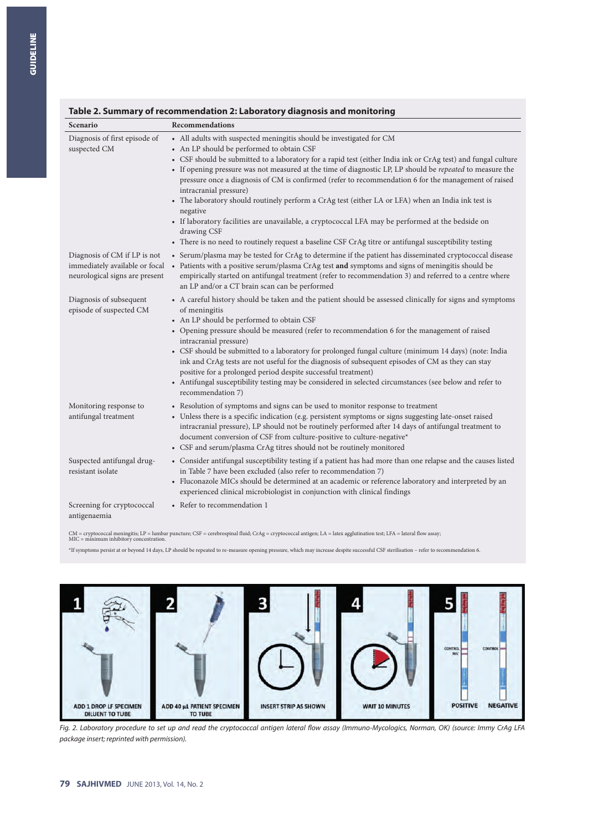## **Table 2. Summary of recommendation 2: Laboratory diagnosis and monitoring**

| Scenario                                                                                         | Recommendations                                                                                                                                                                                                                                                                                                                                                                                                                                                                                                                                                                                                                                                                                                                                                                                                                   |
|--------------------------------------------------------------------------------------------------|-----------------------------------------------------------------------------------------------------------------------------------------------------------------------------------------------------------------------------------------------------------------------------------------------------------------------------------------------------------------------------------------------------------------------------------------------------------------------------------------------------------------------------------------------------------------------------------------------------------------------------------------------------------------------------------------------------------------------------------------------------------------------------------------------------------------------------------|
| Diagnosis of first episode of<br>suspected CM                                                    | • All adults with suspected meningitis should be investigated for CM<br>• An LP should be performed to obtain CSF<br>• CSF should be submitted to a laboratory for a rapid test (either India ink or CrAg test) and fungal culture<br>• If opening pressure was not measured at the time of diagnostic LP, LP should be repeated to measure the<br>pressure once a diagnosis of CM is confirmed (refer to recommendation 6 for the management of raised<br>intracranial pressure)<br>• The laboratory should routinely perform a CrAg test (either LA or LFA) when an India ink test is<br>negative<br>• If laboratory facilities are unavailable, a cryptococcal LFA may be performed at the bedside on<br>drawing CSF<br>• There is no need to routinely request a baseline CSF CrAg titre or antifungal susceptibility testing |
| Diagnosis of CM if LP is not<br>immediately available or focal<br>neurological signs are present | • Serum/plasma may be tested for CrAg to determine if the patient has disseminated cryptococcal disease<br>• Patients with a positive serum/plasma CrAg test and symptoms and signs of meningitis should be<br>empirically started on antifungal treatment (refer to recommendation 3) and referred to a centre where<br>an LP and/or a CT brain scan can be performed                                                                                                                                                                                                                                                                                                                                                                                                                                                            |
| Diagnosis of subsequent<br>episode of suspected CM                                               | • A careful history should be taken and the patient should be assessed clinically for signs and symptoms<br>of meningitis<br>• An LP should be performed to obtain CSF<br>• Opening pressure should be measured (refer to recommendation 6 for the management of raised<br>intracranial pressure)<br>• CSF should be submitted to a laboratory for prolonged fungal culture (minimum 14 days) (note: India<br>ink and CrAg tests are not useful for the diagnosis of subsequent episodes of CM as they can stay<br>positive for a prolonged period despite successful treatment)<br>• Antifungal susceptibility testing may be considered in selected circumstances (see below and refer to<br>recommendation 7)                                                                                                                  |
| Monitoring response to<br>antifungal treatment                                                   | • Resolution of symptoms and signs can be used to monitor response to treatment<br>• Unless there is a specific indication (e.g. persistent symptoms or signs suggesting late-onset raised<br>intracranial pressure), LP should not be routinely performed after 14 days of antifungal treatment to<br>document conversion of CSF from culture-positive to culture-negative*<br>• CSF and serum/plasma CrAg titres should not be routinely monitored                                                                                                                                                                                                                                                                                                                                                                              |
| Suspected antifungal drug-<br>resistant isolate                                                  | • Consider antifungal susceptibility testing if a patient has had more than one relapse and the causes listed<br>in Table 7 have been excluded (also refer to recommendation 7)<br>• Fluconazole MICs should be determined at an academic or reference laboratory and interpreted by an<br>experienced clinical microbiologist in conjunction with clinical findings                                                                                                                                                                                                                                                                                                                                                                                                                                                              |
| Screening for cryptococcal<br>antigenaemia                                                       | • Refer to recommendation 1                                                                                                                                                                                                                                                                                                                                                                                                                                                                                                                                                                                                                                                                                                                                                                                                       |

CM = cryptococcal meningitis; LP = lumbar puncture; CSF = cerebrospinal fluid; CrAg = cryptococcal antigen; LA = latex agglutination test; LFA = lateral flow assay; MIC = minimum inhibitory concentration.

\*If symptoms persist at or beyond 14 days, LP should be repeated to re-measure opening pressure, which may increase despite successful CSF sterilisation – refer to recommendation 6.



Fig. 2. Laboratory procedure to set up and read the cryptococcal antigen lateral flow assay (Immuno-Mycologics, Norman, OK) (source: Immy CrAg LFA *package insert; reprinted with permission).*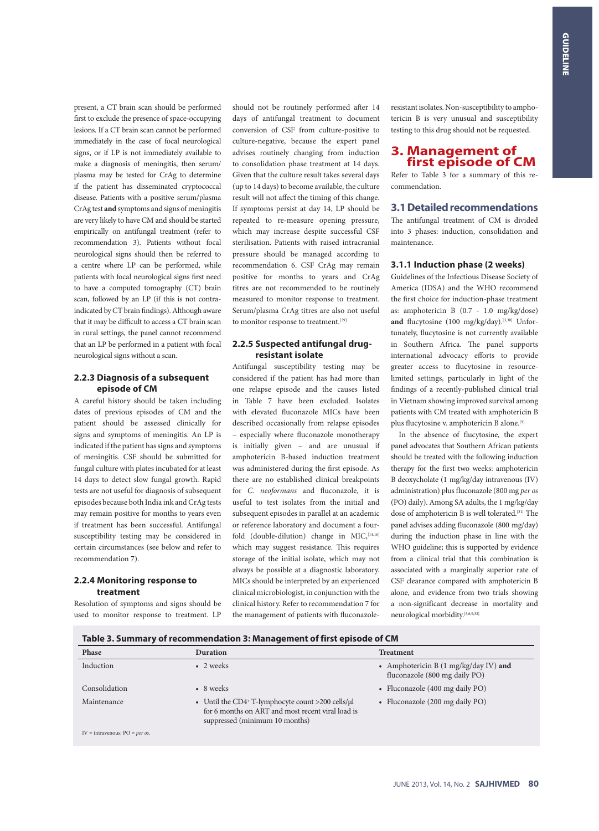present, a CT brain scan should be performed first to exclude the presence of space-occupying lesions. If a CT brain scan cannot be performed immediately in the case of focal neurological signs, or if LP is not immediately available to make a diagnosis of meningitis, then serum/ plasma may be tested for CrAg to determine if the patient has disseminated cryptococcal disease. Patients with a positive serum/plasma CrAg test **and** symptoms and signs of meningitis are very likely to have CM and should be started empirically on antifungal treatment (refer to recommendation 3). Patients without focal neurological signs should then be referred to a centre where LP can be performed, while patients with focal neurological signs first need to have a computed tomography (CT) brain scan, followed by an LP (if this is not contraindicated by CT brain findings). Although aware that it may be difficult to access a CT brain scan in rural settings, the panel cannot recommend that an LP be performed in a patient with focal neurological signs without a scan.

#### **2.2.3 Diagnosis of a subsequent episode of CM**

A careful history should be taken including dates of previous episodes of CM and the patient should be assessed clinically for signs and symptoms of meningitis. An LP is indicated if the patient has signs and symptoms of meningitis. CSF should be submitted for fungal culture with plates incubated for at least 14 days to detect slow fungal growth. Rapid tests are not useful for diagnosis of subsequent episodes because both India ink and CrAg tests may remain positive for months to years even if treatment has been successful. Antifungal susceptibility testing may be considered in certain circumstances (see below and refer to recommendation 7).

#### **2.2.4 Monitoring response to treatment**

Resolution of symptoms and signs should be used to monitor response to treatment. LP

should not be routinely performed after 14 days of antifungal treatment to document conversion of CSF from culture-positive to culture-negative, because the expert panel advises routinely changing from induction to consolidation phase treatment at 14 days. Given that the culture result takes several days (up to 14 days) to become available, the culture result will not affect the timing of this change. If symptoms persist at day 14, LP should be repeated to re-measure opening pressure, which may increase despite successful CSF sterilisation. Patients with raised intracranial pressure should be managed according to recommendation 6. CSF CrAg may remain positive for months to years and CrAg titres are not recommended to be routinely measured to monitor response to treatment. Serum/plasma CrAg titres are also not useful to monitor response to treatment.<sup>[29]</sup>

## **2.2.5 Suspected antifungal drugresistant isolate**

Antifungal susceptibility testing may be considered if the patient has had more than one relapse episode and the causes listed in Table 7 have been excluded. Isolates with elevated fluconazole MICs have been described occasionally from relapse episodes – especially where fluconazole monotherapy is initially given – and are unusual if amphotericin B-based induction treatment was administered during the first episode. As there are no established clinical breakpoints for *C. neoformans* and fluconazole, it is useful to test isolates from the initial and subsequent episodes in parallel at an academic or reference laboratory and document a fourfold (double-dilution) change in  $MIC<sub>1</sub><sup>[14,16]</sup>$ which may suggest resistance. This requires storage of the initial isolate, which may not always be possible at a diagnostic laboratory. MICs should be interpreted by an experienced clinical microbiologist, in conjunction with the clinical history. Refer to recommendation 7 for the management of patients with fluconazoleresistant isolates. Non-susceptibility to amphotericin B is very unusual and susceptibility testing to this drug should not be requested.

# **3. Management of first episode of CM**

Refer to Table 3 for a summary of this recommendation.

## **3.1 Detailed recommendations**

The antifungal treatment of CM is divided into 3 phases: induction, consolidation and maintenance.

#### **3.1.1 Induction phase (2 weeks)**

Guidelines of the Infectious Disease Society of America (IDSA) and the WHO recommend the first choice for induction-phase treatment as: amphotericin B (0.7 - 1.0 mg/kg/dose) and flucytosine (100 mg/kg/day).<sup>[3,30]</sup> Unfortunately, flucytosine is not currently available in Southern Africa. The panel supports international advocacy efforts to provide greater access to flucytosine in resourcelimited settings, particularly in light of the findings of a recently-published clinical trial in Vietnam showing improved survival among patients with CM treated with amphotericin B plus flucytosine v. amphotericin B alone.[9]

In the absence of flucytosine, the expert panel advocates that Southern African patients should be treated with the following induction therapy for the first two weeks: amphotericin B deoxycholate (1 mg/kg/day intravenous (IV) administration) plus fluconazole (800 mg *per os*  (PO) daily). Among SA adults, the 1 mg/kg/day dose of amphotericin B is well tolerated.[31] The panel advises adding fluconazole (800 mg/day) during the induction phase in line with the WHO guideline; this is supported by evidence from a clinical trial that this combination is associated with a marginally superior rate of CSF clearance compared with amphotericin B alone, and evidence from two trials showing a non-significant decrease in mortality and neurological morbidity.[3,6,9,32]

**Table 3. Summary of recommendation 3: Management of first episode of CM**

| Phase                                           | <b>Duration</b>                                                                                                                                      | <b>Treatment</b>                                                                 |  |
|-------------------------------------------------|------------------------------------------------------------------------------------------------------------------------------------------------------|----------------------------------------------------------------------------------|--|
| Induction                                       | $\bullet$ 2 weeks                                                                                                                                    | • Amphotericin B $(1 \text{ mg/kg/day IV})$ and<br>fluconazole (800 mg daily PO) |  |
| Consolidation                                   | $\bullet$ 8 weeks                                                                                                                                    | • Fluconazole (400 mg daily PO)                                                  |  |
| Maintenance                                     | • Until the CD4 <sup>+</sup> T-lymphocyte count >200 cells/µl<br>for 6 months on ART and most recent viral load is<br>suppressed (minimum 10 months) | • Fluconazole (200 mg daily PO)                                                  |  |
| $IV = \text{intravenous; } PO = \text{per os.}$ |                                                                                                                                                      |                                                                                  |  |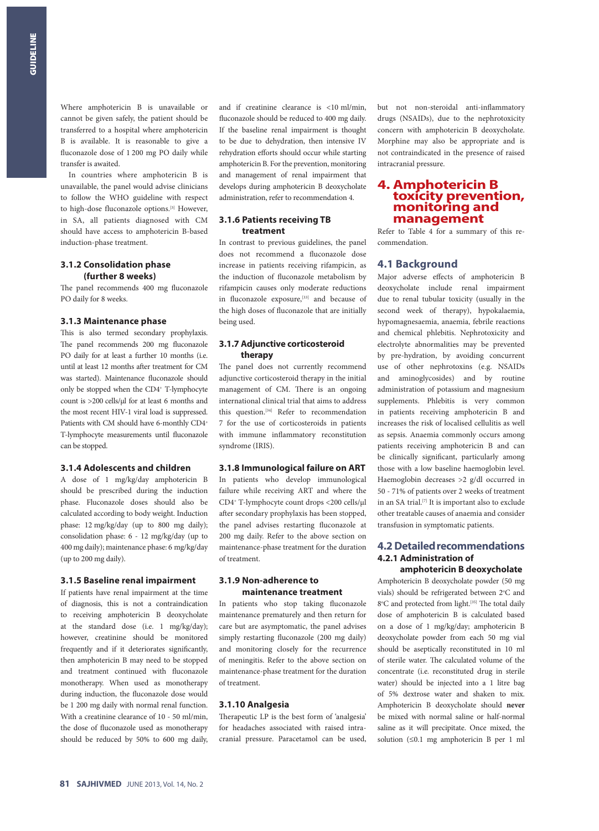Where amphotericin B is unavailable or cannot be given safely, the patient should be transferred to a hospital where amphotericin B is available. It is reasonable to give a fluconazole dose of 1 200 mg PO daily while transfer is awaited.

In countries where amphotericin B is unavailable, the panel would advise clinicians to follow the WHO guideline with respect to high-dose fluconazole options.[3] However, in SA, all patients diagnosed with CM should have access to amphotericin B-based induction-phase treatment.

#### **3.1.2 Consolidation phase (further 8 weeks)**

The panel recommends 400 mg fluconazole PO daily for 8 weeks.

#### **3.1.3 Maintenance phase**

This is also termed secondary prophylaxis. The panel recommends 200 mg fluconazole PO daily for at least a further 10 months (i.e. until at least 12 months after treatment for CM was started). Maintenance fluconazole should only be stopped when the CD4+ T-lymphocyte count is >200 cells/µl for at least 6 months and the most recent HIV-1 viral load is suppressed. Patients with CM should have 6-monthly CD4<sup>+</sup> T-lymphocyte measurements until fluconazole can be stopped.

#### **3.1.4 Adolescents and children**

A dose of 1 mg/kg/day amphotericin B should be prescribed during the induction phase. Fluconazole doses should also be calculated according to body weight. Induction phase: 12 mg/kg/day (up to 800 mg daily); consolidation phase: 6 - 12 mg/kg/day (up to 400 mg daily); maintenance phase: 6 mg/kg/day (up to 200 mg daily).

#### **3.1.5 Baseline renal impairment**

If patients have renal impairment at the time of diagnosis, this is not a contraindication to receiving amphotericin B deoxycholate at the standard dose (i.e. 1 mg/kg/day); however, creatinine should be monitored frequently and if it deteriorates significantly, then amphotericin B may need to be stopped and treatment continued with fluconazole monotherapy. When used as monotherapy during induction, the fluconazole dose would be 1 200 mg daily with normal renal function. With a creatinine clearance of 10 - 50 ml/min, the dose of fluconazole used as monotherapy should be reduced by 50% to 600 mg daily, and if creatinine clearance is <10 ml/min, fluconazole should be reduced to 400 mg daily. If the baseline renal impairment is thought to be due to dehydration, then intensive IV rehydration efforts should occur while starting amphotericin B. For the prevention, monitoring and management of renal impairment that develops during amphotericin B deoxycholate administration, refer to recommendation 4.

#### **3.1.6 Patients receiving TB treatment**

In contrast to previous guidelines, the panel does not recommend a fluconazole dose increase in patients receiving rifampicin, as the induction of fluconazole metabolism by rifampicin causes only moderate reductions in fluconazole exposure,<sup>[33]</sup> and because of the high doses of fluconazole that are initially being used.

#### **3.1.7 Adjunctive corticosteroid therapy**

The panel does not currently recommend adjunctive corticosteroid therapy in the initial management of CM. There is an ongoing international clinical trial that aims to address this question.[34] Refer to recommendation 7 for the use of corticosteroids in patients with immune inflammatory reconstitution syndrome (IRIS).

#### **3.1.8 Immunological failure on ART**

In patients who develop immunological failure while receiving ART and where the CD4+ T-lymphocyte count drops <200 cells/µl after secondary prophylaxis has been stopped, the panel advises restarting fluconazole at 200 mg daily. Refer to the above section on maintenance-phase treatment for the duration of treatment.

#### **3.1.9 Non-adherence to maintenance treatment**

In patients who stop taking fluconazole maintenance prematurely and then return for care but are asymptomatic, the panel advises simply restarting fluconazole (200 mg daily) and monitoring closely for the recurrence of meningitis. Refer to the above section on maintenance-phase treatment for the duration of treatment.

#### **3.1.10 Analgesia**

Therapeutic LP is the best form of 'analgesia' for headaches associated with raised intracranial pressure. Paracetamol can be used, but not non-steroidal anti-inflammatory drugs (NSAIDs), due to the nephrotoxicity concern with amphotericin B deoxycholate. Morphine may also be appropriate and is not contraindicated in the presence of raised intracranial pressure.

# **4. Amphotericin B toxicity prevention, monitoring and management**

Refer to Table 4 for a summary of this recommendation.

## **4.1 Background**

Major adverse effects of amphotericin B deoxycholate include renal impairment due to renal tubular toxicity (usually in the second week of therapy), hypokalaemia, hypomagnesaemia, anaemia, febrile reactions and chemical phlebitis. Nephrotoxicity and electrolyte abnormalities may be prevented by pre-hydration, by avoiding concurrent use of other nephrotoxins (e.g. NSAIDs and aminoglycosides) and by routine administration of potassium and magnesium supplements. Phlebitis is very common in patients receiving amphotericin B and increases the risk of localised cellulitis as well as sepsis. Anaemia commonly occurs among patients receiving amphotericin B and can be clinically significant, particularly among those with a low baseline haemoglobin level. Haemoglobin decreases >2 g/dl occurred in 50 - 71% of patients over 2 weeks of treatment in an SA trial.[7] It is important also to exclude other treatable causes of anaemia and consider transfusion in symptomatic patients.

## **4.2 Detailed recommendations 4.2.1 Administration of amphotericin B deoxycholate**

Amphotericin B deoxycholate powder (50 mg vials) should be refrigerated between  $2^{\circ}$ C and 8°C and protected from light.<sup>[35]</sup> The total daily dose of amphotericin B is calculated based on a dose of 1 mg/kg/day; amphotericin B deoxycholate powder from each 50 mg vial should be aseptically reconstituted in 10 ml of sterile water. The calculated volume of the concentrate (i.e. reconstituted drug in sterile water) should be injected into a 1 litre bag of 5% dextrose water and shaken to mix. Amphotericin B deoxycholate should **never** be mixed with normal saline or half-normal saline as it will precipitate. Once mixed, the solution (≤0.1 mg amphotericin B per 1 ml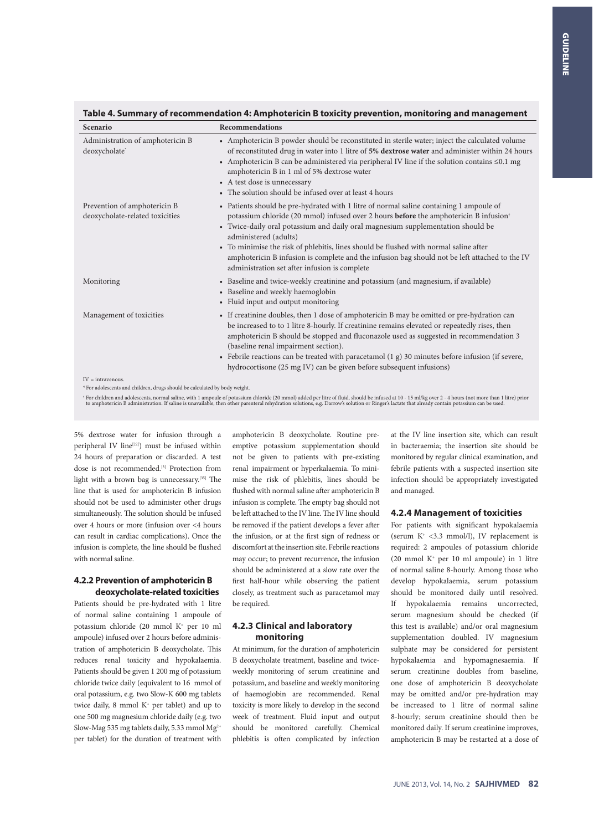| Recommendations                                                                                                                                                                                                                                                                                                                                                                                                                                                                                                                                             |
|-------------------------------------------------------------------------------------------------------------------------------------------------------------------------------------------------------------------------------------------------------------------------------------------------------------------------------------------------------------------------------------------------------------------------------------------------------------------------------------------------------------------------------------------------------------|
| • Amphotericin B powder should be reconstituted in sterile water; inject the calculated volume<br>of reconstituted drug in water into 1 litre of 5% dextrose water and administer within 24 hours<br>• Amphotericin B can be administered via peripheral IV line if the solution contains $\leq 0.1$ mg<br>amphotericin B in 1 ml of 5% dextrose water<br>• A test dose is unnecessary<br>• The solution should be infused over at least 4 hours                                                                                                            |
| • Patients should be pre-hydrated with 1 litre of normal saline containing 1 ampoule of<br>potassium chloride (20 mmol) infused over 2 hours <b>before</b> the amphotericin B infusion <sup>†</sup><br>• Twice-daily oral potassium and daily oral magnesium supplementation should be<br>administered (adults)<br>• To minimise the risk of phlebitis, lines should be flushed with normal saline after<br>amphotericin B infusion is complete and the infusion bag should not be left attached to the IV<br>administration set after infusion is complete |
| • Baseline and twice-weekly creatinine and potassium (and magnesium, if available)<br>• Baseline and weekly haemoglobin<br>• Fluid input and output monitoring                                                                                                                                                                                                                                                                                                                                                                                              |
| • If creatinine doubles, then 1 dose of amphotericin B may be omitted or pre-hydration can<br>be increased to to 1 litre 8-hourly. If creatinine remains elevated or repeatedly rises, then<br>amphotericin B should be stopped and fluconazole used as suggested in recommendation 3<br>(baseline renal impairment section).<br>• Febrile reactions can be treated with paracetamol (1 g) 30 minutes before infusion (if severe,<br>hydrocortisone (25 mg IV) can be given before subsequent infusions)                                                    |
|                                                                                                                                                                                                                                                                                                                                                                                                                                                                                                                                                             |

† For children and adolescents, normal saline, with 1 ampoule of potassium chloride (20 mmol) added per litre of fluid, should be infused at 10 - 15 ml/kg over 2 - 4 hours (not more than 1 litre) prior<br>to amphotericin B a

5% dextrose water for infusion through a peripheral IV line<sup>[22]</sup>) must be infused within 24 hours of preparation or discarded. A test dose is not recommended.<sup>[3]</sup> Protection from light with a brown bag is unnecessary.[35] The line that is used for amphotericin B infusion should not be used to administer other drugs simultaneously. The solution should be infused over 4 hours or more (infusion over <4 hours can result in cardiac complications). Once the infusion is complete, the line should be flushed with normal saline.

## **4.2.2 Prevention of amphotericin B deoxycholate-related toxicities**

Patients should be pre-hydrated with 1 litre of normal saline containing 1 ampoule of potassium chloride (20 mmol K+ per 10 ml ampoule) infused over 2 hours before administration of amphotericin B deoxycholate. This reduces renal toxicity and hypokalaemia. Patients should be given 1 200 mg of potassium chloride twice daily (equivalent to 16 mmol of oral potassium, e.g. two Slow-K 600 mg tablets twice daily,  $8 \text{ mmol K}^+$  per tablet) and up to one 500 mg magnesium chloride daily (e.g. two Slow-Mag 535 mg tablets daily, 5.33 mmol Mg<sup>2+</sup> per tablet) for the duration of treatment with

amphotericin B deoxycholate. Routine preemptive potassium supplementation should not be given to patients with pre-existing renal impairment or hyperkalaemia. To minimise the risk of phlebitis, lines should be flushed with normal saline after amphotericin B infusion is complete. The empty bag should not be left attached to the IV line. The IV line should be removed if the patient develops a fever after the infusion, or at the first sign of redness or discomfort at the insertion site. Febrile reactions may occur; to prevent recurrence, the infusion should be administered at a slow rate over the first half-hour while observing the patient closely, as treatment such as paracetamol may be required.

## **4.2.3 Clinical and laboratory monitoring**

At minimum, for the duration of amphotericin B deoxycholate treatment, baseline and twiceweekly monitoring of serum creatinine and potassium, and baseline and weekly monitoring of haemoglobin are recommended. Renal toxicity is more likely to develop in the second week of treatment. Fluid input and output should be monitored carefully. Chemical phlebitis is often complicated by infection

at the IV line insertion site, which can result in bacteraemia; the insertion site should be monitored by regular clinical examination, and febrile patients with a suspected insertion site infection should be appropriately investigated and managed.

## **4.2.4 Management of toxicities**

For patients with significant hypokalaemia (serum  $K^*$  <3.3 mmol/l), IV replacement is required: 2 ampoules of potassium chloride  $(20 \text{ mmol K}^+ \text{ per } 10 \text{ ml ampoule})$  in 1 litre of normal saline 8-hourly. Among those who develop hypokalaemia, serum potassium should be monitored daily until resolved. If hypokalaemia remains uncorrected, serum magnesium should be checked (if this test is available) and/or oral magnesium supplementation doubled. IV magnesium sulphate may be considered for persistent hypokalaemia and hypomagnesaemia. If serum creatinine doubles from baseline, one dose of amphotericin B deoxycholate may be omitted and/or pre-hydration may be increased to 1 litre of normal saline 8-hourly; serum creatinine should then be monitored daily. If serum creatinine improves, amphotericin B may be restarted at a dose of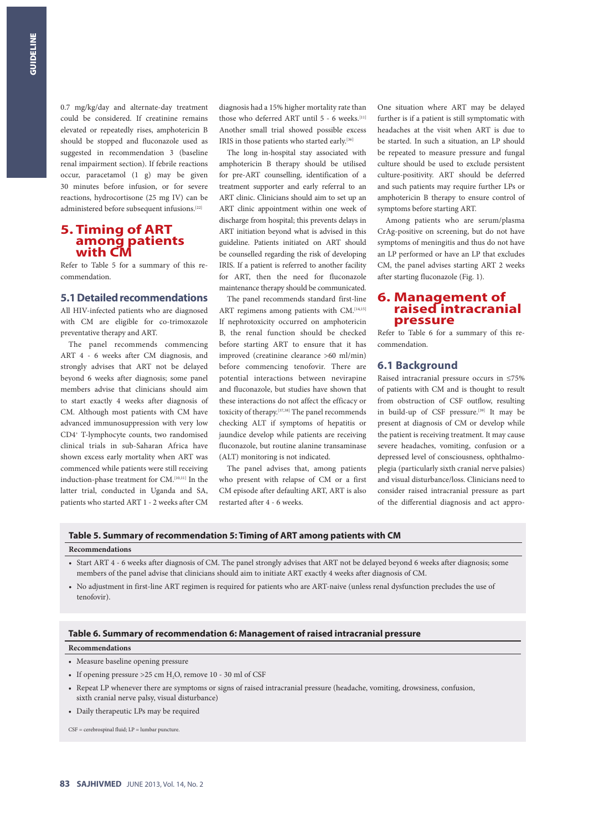0.7 mg/kg/day and alternate-day treatment could be considered. If creatinine remains elevated or repeatedly rises, amphotericin B should be stopped and fluconazole used as suggested in recommendation 3 (baseline renal impairment section). If febrile reactions occur, paracetamol (1 g) may be given 30 minutes before infusion, or for severe reactions, hydrocortisone (25 mg IV) can be administered before subsequent infusions.[22]

## **5. Timing of ART among patients with CM**

Refer to Table 5 for a summary of this recommendation.

## **5.1 Detailed recommendations**

All HIV-infected patients who are diagnosed with CM are eligible for co-trimoxazole preventative therapy and ART.

The panel recommends commencing ART 4 - 6 weeks after CM diagnosis, and strongly advises that ART not be delayed beyond 6 weeks after diagnosis; some panel members advise that clinicians should aim to start exactly 4 weeks after diagnosis of CM. Although most patients with CM have advanced immunosuppression with very low CD4+ T-lymphocyte counts, two randomised clinical trials in sub-Saharan Africa have shown excess early mortality when ART was commenced while patients were still receiving induction-phase treatment for CM.[10,11] In the latter trial, conducted in Uganda and SA, patients who started ART 1 - 2 weeks after CM

diagnosis had a 15% higher mortality rate than those who deferred ART until 5 - 6 weeks.<sup>[11]</sup> Another small trial showed possible excess IRIS in those patients who started early.<sup>[36]</sup>

The long in-hospital stay associated with amphotericin B therapy should be utilised for pre-ART counselling, identification of a treatment supporter and early referral to an ART clinic. Clinicians should aim to set up an ART clinic appointment within one week of discharge from hospital; this prevents delays in ART initiation beyond what is advised in this guideline. Patients initiated on ART should be counselled regarding the risk of developing IRIS. If a patient is referred to another facility for ART, then the need for fluconazole maintenance therapy should be communicated.

The panel recommends standard first-line ART regimens among patients with CM.<sup>[14,15]</sup> If nephrotoxicity occurred on amphotericin B, the renal function should be checked before starting ART to ensure that it has improved (creatinine clearance >60 ml/min) before commencing tenofovir. There are potential interactions between nevirapine and fluconazole, but studies have shown that these interactions do not affect the efficacy or toxicity of therapy.[37,38] The panel recommends checking ALT if symptoms of hepatitis or jaundice develop while patients are receiving fluconazole, but routine alanine transaminase (ALT) monitoring is not indicated.

The panel advises that, among patients who present with relapse of CM or a first CM episode after defaulting ART, ART is also restarted after 4 - 6 weeks.

One situation where ART may be delayed further is if a patient is still symptomatic with headaches at the visit when ART is due to be started. In such a situation, an LP should be repeated to measure pressure and fungal culture should be used to exclude persistent culture-positivity. ART should be deferred and such patients may require further LPs or amphotericin B therapy to ensure control of symptoms before starting ART.

Among patients who are serum/plasma CrAg-positive on screening, but do not have symptoms of meningitis and thus do not have an LP performed or have an LP that excludes CM, the panel advises starting ART 2 weeks after starting fluconazole (Fig. 1).

# **6. Management of raised intracranial pressure**

Refer to Table 6 for a summary of this recommendation.

## **6.1 Background**

Raised intracranial pressure occurs in ≤75% of patients with CM and is thought to result from obstruction of CSF outflow, resulting in build-up of CSF pressure.[39] It may be present at diagnosis of CM or develop while the patient is receiving treatment. It may cause severe headaches, vomiting, confusion or a depressed level of consciousness, ophthalmoplegia (particularly sixth cranial nerve palsies) and visual disturbance/loss. Clinicians need to consider raised intracranial pressure as part of the differential diagnosis and act appro-

## **Table 5. Summary of recommendation 5: Timing of ART among patients with CM**

#### **Recommendations**

- Start ART 4 6 weeks after diagnosis of CM. The panel strongly advises that ART not be delayed beyond 6 weeks after diagnosis; some members of the panel advise that clinicians should aim to initiate ART exactly 4 weeks after diagnosis of CM.
- No adjustment in first-line ART regimen is required for patients who are ART-naive (unless renal dysfunction precludes the use of tenofovir).

## **Table 6. Summary of recommendation 6: Management of raised intracranial pressure**

#### **Recommendations**

- Measure baseline opening pressure
- If opening pressure >  $25$  cm  $H_2O$ , remove 10 30 ml of CSF
- Repeat LP whenever there are symptoms or signs of raised intracranial pressure (headache, vomiting, drowsiness, confusion, sixth cranial nerve palsy, visual disturbance)
- Daily therapeutic LPs may be required

 $CSF =$  cerebrospinal fluid;  $LP =$  lumbar puncture.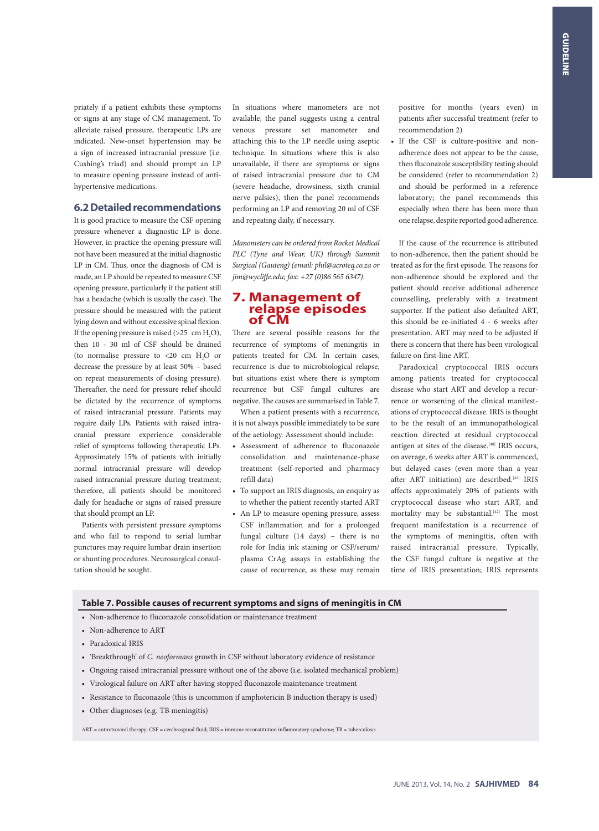priately if a patient exhibits these symptoms or signs at any stage of CM management. To alleviate raised pressure, therapeutic LPs are indicated. New-onset hypertension may be a sign of increased intracranial pressure (i.e. Cushing's triad) and should prompt an LP to measure opening pressure instead of antihypertensive medications.

# **6.2 Detailed recommendations**

It is good practice to measure the CSF opening pressure whenever a diagnostic LP is done. However, in practice the opening pressure will not have been measured at the initial diagnostic LP in CM. Thus, once the diagnosis of CM is made, an LP should be repeated to measure CSF opening pressure, particularly if the patient still has a headache (which is usually the case). The pressure should be measured with the patient lying down and without excessive spinal flexion. If the opening pressure is raised  $(>25$  cm H<sub>2</sub>O), then 10 - 30 ml of CSF should be drained (to normalise pressure to  $<$  20 cm H<sub>2</sub>O or decrease the pressure by at least 50% – based on repeat measurements of closing pressure). Thereafter, the need for pressure relief should be dictated by the recurrence of symptoms of raised intracranial pressure. Patients may require daily LPs. Patients with raised intracranial pressure experience considerable relief of symptoms following therapeutic LPs. Approximately 15% of patients with initially normal intracranial pressure will develop raised intracranial pressure during treatment; therefore, all patients should be monitored daily for headache or signs of raised pressure that should prompt an LP.

Patients with persistent pressure symptoms and who fail to respond to serial lumbar punctures may require lumbar drain insertion or shunting procedures. Neurosurgical consultation should be sought.

In situations where manometers are not available, the panel suggests using a central venous pressure set manometer and attaching this to the LP needle using aseptic technique. In situations where this is also unavailable, if there are symptoms or signs of raised intracranial pressure due to CM (severe headache, drowsiness, sixth cranial nerve palsies), then the panel recommends performing an LP and removing 20 ml of CSF and repeating daily, if necessary.

*Manometers can be ordered from Rocket Medical PLC (Tyne and Wear, UK) through Summit Surgical (Gauteng) (email: phil@acroteq.co.za or jim@wycliffe.edu; fax: +27 (0)86 565 6347).* 

## **7. Management of relapse episodes of CM**

There are several possible reasons for the recurrence of symptoms of meningitis in patients treated for CM. In certain cases, recurrence is due to microbiological relapse, but situations exist where there is symptom recurrence but CSF fungal cultures are negative. The causes are summarised in Table 7.

When a patient presents with a recurrence, it is not always possible immediately to be sure of the aetiology. Assessment should include:

- Assessment of adherence to fluconazole consolidation and maintenance-phase treatment (self-reported and pharmacy refill data)
- To support an IRIS diagnosis, an enquiry as to whether the patient recently started ART
- An LP to measure opening pressure, assess CSF inflammation and for a prolonged fungal culture (14 days) – there is no role for India ink staining or CSF/serum/ plasma CrAg assays in establishing the cause of recurrence, as these may remain

positive for months (years even) in patients after successful treatment (refer to recommendation 2)

If the CSF is culture-positive and nonadherence does not appear to be the cause, then fluconazole susceptibility testing should be considered (refer to recommendation 2) and should be performed in a reference laboratory; the panel recommends this especially when there has been more than one relapse, despite reported good adherence.

If the cause of the recurrence is attributed to non-adherence, then the patient should be treated as for the first episode. The reasons for non-adherence should be explored and the patient should receive additional adherence counselling, preferably with a treatment supporter. If the patient also defaulted ART, this should be re-initiated 4 - 6 weeks after presentation. ART may need to be adjusted if there is concern that there has been virological failure on first-line ART.

Paradoxical cryptococcal IRIS occurs among patients treated for cryptococcal disease who start ART and develop a recurrence or worsening of the clinical manifestations of cryptococcal disease. IRIS is thought to be the result of an immunopathological reaction directed at residual cryptococcal antigen at sites of the disease.<sup>[40]</sup> IRIS occurs, on average, 6 weeks after ART is commenced, but delayed cases (even more than a year after ART initiation) are described.<sup>[41]</sup> IRIS affects approximately 20% of patients with cryptococcal disease who start ART, and mortality may be substantial.<sup>[42]</sup> The most frequent manifestation is a recurrence of the symptoms of meningitis, often with raised intracranial pressure. Typically, the CSF fungal culture is negative at the time of IRIS presentation; IRIS represents

#### **Table 7. Possible causes of recurrent symptoms and signs of meningitis in CM**

- Non-adherence to fluconazole consolidation or maintenance treatment
- Non-adherence to ART
- Paradoxical IRIS
- 'Breakthrough' of *C. neoformans* growth in CSF without laboratory evidence of resistance
- Ongoing raised intracranial pressure without one of the above (i.e. isolated mechanical problem)
- Virological failure on ART after having stopped fluconazole maintenance treatment
- Resistance to fluconazole (this is uncommon if amphotericin B induction therapy is used)
- Other diagnoses (e.g. TB meningitis)

ART = antiretroviral therapy; CSF = cerebrospinal fluid; IRIS = immune reconstitution inflammatory syndrome; TB = tuberculosis.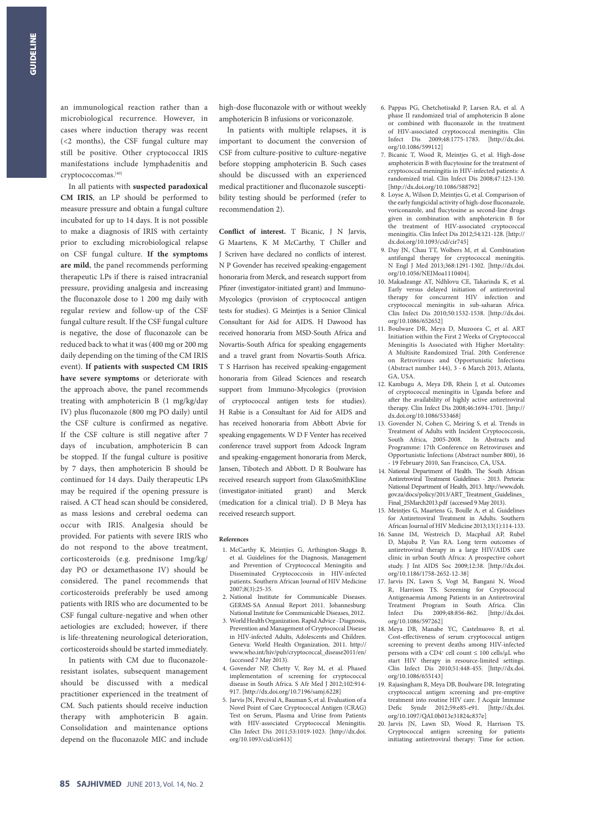an immunological reaction rather than a microbiological recurrence. However, in cases where induction therapy was recent (<2 months), the CSF fungal culture may still be positive. Other cryptococcal IRIS manifestations include lymphadenitis and cryptococcomas.[40]

In all patients with **suspected paradoxical CM IRIS**, an LP should be performed to measure pressure and obtain a fungal culture incubated for up to 14 days. It is not possible to make a diagnosis of IRIS with certainty prior to excluding microbiological relapse on CSF fungal culture. **If the symptoms are mild**, the panel recommends performing therapeutic LPs if there is raised intracranial pressure, providing analgesia and increasing the fluconazole dose to 1 200 mg daily with regular review and follow-up of the CSF fungal culture result. If the CSF fungal culture is negative, the dose of fluconazole can be reduced back to what it was (400 mg or 200 mg daily depending on the timing of the CM IRIS event). **If patients with suspected CM IRIS have severe symptoms** or deteriorate with the approach above, the panel recommends treating with amphotericin B (1 mg/kg/day IV) plus fluconazole (800 mg PO daily) until the CSF culture is confirmed as negative. If the CSF culture is still negative after 7 days of incubation, amphotericin B can be stopped. If the fungal culture is positive by 7 days, then amphotericin B should be continued for 14 days. Daily therapeutic LPs may be required if the opening pressure is raised. A CT head scan should be considered, as mass lesions and cerebral oedema can occur with IRIS. Analgesia should be provided. For patients with severe IRIS who do not respond to the above treatment, corticosteroids (e.g. prednisone 1mg/kg/ day PO or dexamethasone IV) should be considered. The panel recommends that corticosteroids preferably be used among patients with IRIS who are documented to be CSF fungal culture-negative and when other aetiologies are excluded; however, if there is life-threatening neurological deterioration, corticosteroids should be started immediately.

In patients with CM due to fluconazoleresistant isolates, subsequent management should be discussed with a medical practitioner experienced in the treatment of CM. Such patients should receive induction therapy with amphotericin B again. Consolidation and maintenance options depend on the fluconazole MIC and include high-dose fluconazole with or without weekly amphotericin B infusions or voriconazole.

In patients with multiple relapses, it is important to document the conversion of CSF from culture-positive to culture-negative before stopping amphotericin B. Such cases should be discussed with an experienced medical practitioner and fluconazole susceptibility testing should be performed (refer to recommendation 2).

**Conflict of interest.** T Bicanic, J N Jarvis, G Maartens, K M McCarthy, T Chiller and J Scriven have declared no conflicts of interest. N P Govender has received speaking-engagement honoraria from Merck, and research support from Pfizer (investigator-initiated grant) and Immuno-Mycologics (provision of cryptococcal antigen tests for studies). G Meintjes is a Senior Clinical Consultant for Aid for AIDS. H Dawood has received honoraria from MSD-South Africa and Novartis-South Africa for speaking engagements and a travel grant from Novartis-South Africa. T S Harrison has received speaking-engagement honoraria from Gilead Sciences and research support from Immuno-Mycologics (provision of cryptococcal antigen tests for studies). H Rabie is a Consultant for Aid for AIDS and has received honoraria from Abbott Abvie for speaking engagements. W D F Venter has received conference travel support from Adcock Ingram and speaking-engagement honoraria from Merck, Jansen, Tibotech and Abbott. D R Boulware has received research support from GlaxoSmithKline (investigator-initiated grant) and Merck (medication for a clinical trial). D B Meya has received research support.

#### **References**

- 1. McCarthy K, Meintjies G, Arthington-Skaggs B, et al. Guidelines for the Diagnosis, Management and Prevention of Cryptococcal Meningitis and Disseminated Cryptococcosis in HIV-infected patients. Southern African Journal of HIV Medicine  $2007;8(3):25-35.$
- 2. National Institute for Communicable Diseases. GERMS-SA Annual Report 2011. Johannesburg: National Institute for Communicable Diseases, 2012.
- 3. World Health Organization. Rapid Advice Diagnosis, Prevention and Management of Cryptococcal Disease in HIV-infected Adults, Adolescents and Children. Geneva: World Health Organization, 2011. http:// www.who.int/hiv/pub/cryptococcal\_disease2011/en/ (accessed 7 May 2013).
- 4. Govender NP, Chetty V, Roy M, et al. Phased implementation of screening for cryptococcal disease in South Africa. S Afr Med J 2012;102:914- 917. [http://dx.doi.org/10.7196/samj.6228]
- 5. Jarvis JN, Percival A, Bauman S, et al. Evaluation of a Novel Point of Care Cryptococcal Antigen (CRAG) Test on Serum, Plasma and Urine from Patients with HIV-associated Cryptococcal Meningitis. Clin Infect Dis 2011;53:1019-1023. [http://dx.doi. org/10.1093/cid/cir613]
- 6. Pappas PG, Chetchotisakd P, Larsen RA, et al. A phase II randomized trial of amphotericin B alone or combined with fluconazole in the treatment of HIV-associated cryptococcal meningitis. Clin Infect Dis 2009;48:1775-1783. [http://dx.doi. org/10.1086/599112]
- 7. Bicanic T, Wood R, Meintjes G, et al. High-dose amphotericin B with flucytosine for the treatment of cryptococcal meningitis in HIV-infected patients: A randomized trial. Clin Infect Dis 2008;47:123-130. [http://dx.doi.org/10.1086/588792]
- 8. Loyse A, Wilson D, Meintjes G, et al. Comparison of the early fungicidal activity of high-dose fluconazole, voriconazole, and flucytosine as second-line drugs given in combination with amphotericin B for the treatment of HIV-associated cryptococcal meningitis. Clin Infect Dis 2012;54:121-128. [http:// dx.doi.org/10.1093/cid/cir745]
- 9. Day JN, Chau TT, Wolbers M, et al. Combination antifungal therapy for cryptococcal meningitis. N Engl J Med 2013;368:1291-1302. [http://dx.doi. org/10.1056/NEJMoa1110404].
- 10. Makadzange AT, Ndhlovu CE, Takarinda K, et al. Early versus delayed initiation of antiretroviral therapy for concurrent HIV infection and cryptococcal meningitis in sub-saharan Africa. Clin Infect Dis 2010;50:1532-1538. [http://dx.doi. org/10.1086/652652]
- 11. Boulware DR, Meya D, Muzoora C, et al. ART Initiation within the First 2 Weeks of Cryptococcal Meningitis Is Associated with Higher Mortality: A Multisite Randomized Trial. 20th Conference on Retroviruses and Opportunistic Infections (Abstract number 144), 3 - 6 March 2013, Atlanta, GA, USA.
- 12. Kambugu A, Meya DB, Rhein J, et al. Outcomes of cryptococcal meningitis in Uganda before and after the availability of highly active antiretroviral therapy. Clin Infect Dis 2008;46:1694-1701. [http:// dx.doi.org/10.1086/533468]
- 13. Govender N, Cohen C, Meiring S, et al. Trends in Treatment of Adults with Incident Cryptococcosis, South Africa, 2005-2008. In Abstracts and Programme: 17th Conference on Retroviruses and Opportunistic Infections (Abstract number 800), 16 - 19 February 2010, San Francisco, CA, USA.
- 14. National Department of Health. The South African Antiretroviral Treatment Guidelines - 2013. Pretoria: National Department of Health, 2013. http://www.doh. gov.za/docs/policy/2013/ART\_Treatment\_Guidelines\_ Final\_25March2013.pdf (accessed 9 May 2013).
- 15. Meintjes G, Maartens G, Boulle A, et al. Guidelines for Antiretroviral Treatment in Adults. Southern African Journal of HIV Medicine 2013;13(1):114-133.
- 16. Sanne IM, Westreich D, Macphail AP, Rubel D, Majuba P, Van RA. Long term outcomes of antiretroviral therapy in a large HIV/AIDS care clinic in urban South Africa: A prospective cohort study. J Int AIDS Soc 2009;12:38. [http://dx.doi. org/10.1186/1758-2652-12-38]
- 17. Jarvis JN, Lawn S, Vogt M, Bangani N, Wood R, Harrison TS. Screening for Cryptococcal Antigenaemia Among Patients in an Antiretroviral Treatment Program in South Africa. Clin<br>Infect Dis 2009:48:856-862. [http://dx.doi. Infect Dis 2009;48:856-862. org/10.1086/597262]
- Meya DB, Manabe YC, Castelnuovo B, et al. Cost-effectiveness of serum cryptococcal antigen screening to prevent deaths among HIV-infected persons with a  $CD4^+$  cell count  $\leq 100$  cells/ $\mu$ L who start HIV therapy in resource-limited settings. Clin Infect Dis 2010;51:448-455. [http://dx.doi. org/10.1086/655143]
- 19. Rajasingham R, Meya DB, Boulware DR. Integrating cryptococcal antigen screening and pre-emptive treatment into routine HIV care. J Acquir Immune Defic Syndr 2012;59:e85-e91. [http://dx.doi. org/10.1097/QAI.0b013e31824c837e]
- 20. Jarvis JN, Lawn SD, Wood R, Harrison TS. Cryptococcal antigen screening for patients initiating antiretroviral therapy: Time for action.